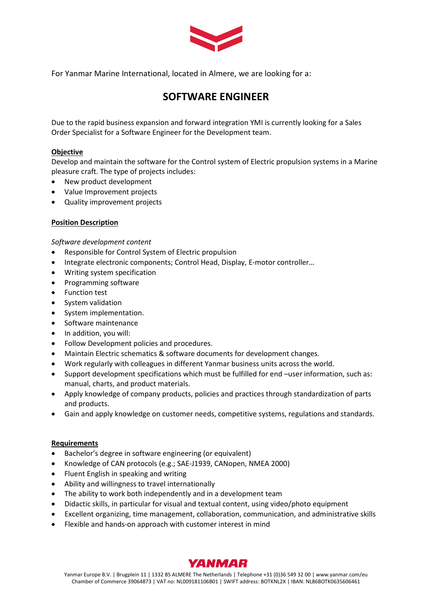

For Yanmar Marine International, located in Almere, we are looking for a:

# **SOFTWARE ENGINEER**

Due to the rapid business expansion and forward integration YMI is currently looking for a Sales Order Specialist for a Software Engineer for the Development team.

# **Objective**

Develop and maintain the software for the Control system of Electric propulsion systems in a Marine pleasure craft. The type of projects includes:

- New product development
- Value Improvement projects
- Quality improvement projects

# **Position Description**

*Software development content*

- Responsible for Control System of Electric propulsion
- Integrate electronic components; Control Head, Display, E-motor controller…
- Writing system specification
- Programming software
- Function test
- System validation
- System implementation.
- Software maintenance
- In addition, you will:
- Follow Development policies and procedures.
- Maintain Electric schematics & software documents for development changes.
- Work regularly with colleagues in different Yanmar business units across the world.
- Support development specifications which must be fulfilled for end –user information, such as: manual, charts, and product materials.
- Apply knowledge of company products, policies and practices through standardization of parts and products.
- Gain and apply knowledge on customer needs, competitive systems, regulations and standards.

## **Requirements**

- Bachelor's degree in software engineering (or equivalent)
- Knowledge of CAN protocols (e.g.; SAE-J1939, CANopen, NMEA 2000)
- Fluent English in speaking and writing
- Ability and willingness to travel internationally
- The ability to work both independently and in a development team
- Didactic skills, in particular for visual and textual content, using video/photo equipment
- Excellent organizing, time management, collaboration, communication, and administrative skills
- Flexible and hands-on approach with customer interest in mind